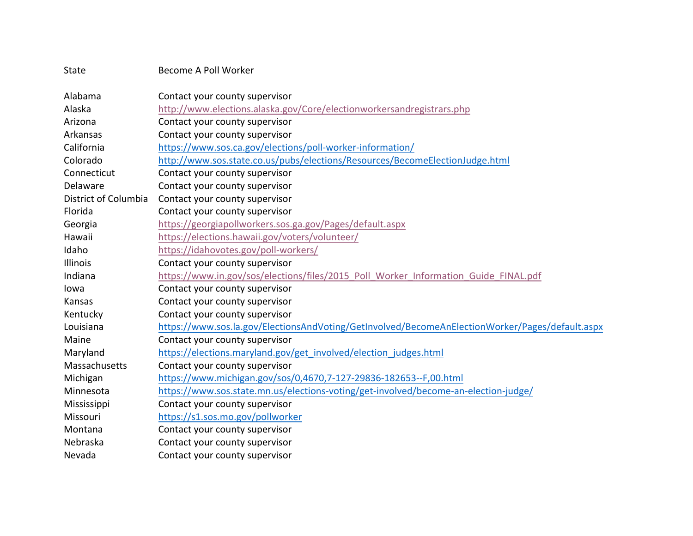| State                | Become A Poll Worker                                                                            |
|----------------------|-------------------------------------------------------------------------------------------------|
| Alabama              | Contact your county supervisor                                                                  |
| Alaska               | http://www.elections.alaska.gov/Core/electionworkersandregistrars.php                           |
| Arizona              | Contact your county supervisor                                                                  |
| Arkansas             | Contact your county supervisor                                                                  |
| California           | https://www.sos.ca.gov/elections/poll-worker-information/                                       |
| Colorado             | http://www.sos.state.co.us/pubs/elections/Resources/BecomeElectionJudge.html                    |
| Connecticut          | Contact your county supervisor                                                                  |
| Delaware             | Contact your county supervisor                                                                  |
| District of Columbia | Contact your county supervisor                                                                  |
| Florida              | Contact your county supervisor                                                                  |
| Georgia              | https://georgiapollworkers.sos.ga.gov/Pages/default.aspx                                        |
| Hawaii               | https://elections.hawaii.gov/voters/volunteer/                                                  |
| Idaho                | https://idahovotes.gov/poll-workers/                                                            |
| Illinois             | Contact your county supervisor                                                                  |
| Indiana              | https://www.in.gov/sos/elections/files/2015_Poll_Worker_Information_Guide_FINAL.pdf             |
| lowa                 | Contact your county supervisor                                                                  |
| Kansas               | Contact your county supervisor                                                                  |
| Kentucky             | Contact your county supervisor                                                                  |
| Louisiana            | https://www.sos.la.gov/ElectionsAndVoting/GetInvolved/BecomeAnElectionWorker/Pages/default.aspx |
| Maine                | Contact your county supervisor                                                                  |
| Maryland             | https://elections.maryland.gov/get_involved/election_judges.html                                |
| Massachusetts        | Contact your county supervisor                                                                  |
| Michigan             | https://www.michigan.gov/sos/0,4670,7-127-29836-182653--F,00.html                               |
| Minnesota            | https://www.sos.state.mn.us/elections-voting/get-involved/become-an-election-judge/             |
| Mississippi          | Contact your county supervisor                                                                  |
| Missouri             | https://s1.sos.mo.gov/pollworker                                                                |
| Montana              | Contact your county supervisor                                                                  |
| Nebraska             | Contact your county supervisor                                                                  |
| Nevada               | Contact your county supervisor                                                                  |